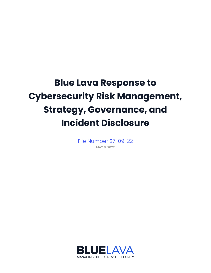## **Blue Lava Response to Cybersecurity Risk Management, Strategy, Governance, and Incident Disclosure**

File Number S7-09-22 **MAY 8, 2022**

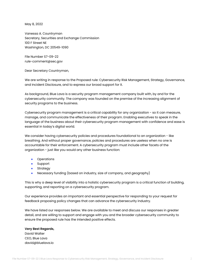May 8, 2022

Vanessa A. Countryman Secretary, Securities and Exchange Commission 100 F Street NE Washington, DC 20549-1090

File Number S7-09-22 rule-comment@sec.gov

Dear Secretary Countryman,

We are writing in response to the Proposed rule: Cybersecurity Risk Management, Strategy, Governance, and Incident Disclosure, and to express our broad support for it.

As background, Blue Lava is a security program management company built with, by and for the cybersecurity community. The company was founded on the premise of the increasing alignment of security programs to the business.

Cybersecurity program management is a critical capability for any organization - so it can measure, manage, and communicate the effectiveness of their program. Enabling executives to speak in the language of the business about their cybersecurity program management with confidence and ease is essential in today's digital world.

We consider having cybersecurity policies and procedures foundational to an organization - like breathing. And without proper governance, policies and procedures are useless when no one is accountable for their enforcement. A cybersecurity program must include other facets of the organization - just like you would any other business function:

- **•** Operations
- Support
- Strategy
- Necessary funding (based on industry, size of company, and geography)

This is why a deep level of visibility into a holistic cybersecurity program is a critical function of building, supporting, and reporting on a cybersecurity program.

Our experience provides an important and essential perspective for responding to your request for feedback proposing policy changes that can advance the cybersecurity industry.

We have listed our responses below. We are available to meet and discuss our responses in greater detail, and are willing to support and engage with you and the broader cybersecurity community to ensure the proposed rule has the intended positive effects.

## **Very Best Regards,**

David Walter CEO, Blue Lava david@bluelava.io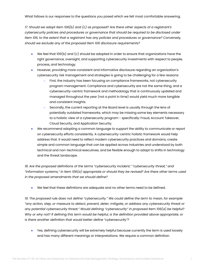What follows is our responses to the questions you posed which we felt most comfortable answering.

*17. Should we adopt Item 106(b) and (c) as proposed? Are there other aspects of a registrant's cybersecurity policies and procedures or governance that should be required to be disclosed under Item 106, to the extent that a registrant has any policies and procedures or governance? Conversely, should we exclude any of the proposed Item 106 disclosure requirements?*

- $\bullet$  We feel that 106(b) and (c) should be adopted in order to ensure that organizations have the right governance, oversight, and supporting cybersecurity investments with respect to people, process, and technology.
- However, providing more consistent and informative disclosure regarding an organization's cybersecurity risk management and strategies is going to be challenging for a few reasons:
	- First, the industry has been focusing on compliance frameworks, not cybersecurity program management. Compliance and cybersecurity are not the same thing, and a cybersecurity-centric framework and methodology that is continuously updated and managed throughout the year (not a point in time) would yield much more tangible and consistent insights.
	- Secondly, the current reporting at the Board level is usually through the lens of potentially outdated frameworks, which may be missing some key elements necessary to a holistic view of a cybersecurity program - specifically: Fraud, Account Takeover, Cloud Security, and Application Security.
- We recommend adopting a common language to support the ability to communicate or report on cybersecurity efforts consistently. A cybersecurity-centric holistic framework would help address that. It would need to reflect modern cybersecurity practices and domains, create simple and common language that can be applied across industries and understood by both technical and non-technical executives, and be flexible enough to adapt to shifts in technology and the threat landscape.

*18. Are the proposed definitions of the terms "cybersecurity incident," "cybersecurity threat," and "information systems," in Item 106(a) appropriate or should they be revised? Are there other terms used in the proposed amendments that we should define?*

● We feel that these definitions are adequate and no other terms need to be defined.

*19. The proposed rule does not define "cybersecurity." We could define the term to mean, for example: "any action, step, or measure to detect, prevent, deter, mitigate, or address any cybersecurity threat or any potential cybersecurity threat." Would defining "cybersecurity" in proposed Item 106(a) be helpful?* Why or why not? If defining this term would be helpful, is the definition provided above appropriate, or *is there another definition that would better define "cybersecurity"?*

• Yes, defining cybersecurity will be extremely helpful because currently the term is used loosely and has many different meanings or interpretations. We require a common definition.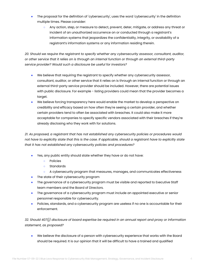- The proposal for the definition of 'cybersecurity', uses the word 'cybersecurity' in the definition multiple times. Please consider:
	- Any action, step, or measure to detect, prevent, deter, mitigate, or address any threat or incident of an unauthorized occurrence on or conducted through a registrant's information systems that jeopardizes the confidentiality, integrity, or availability of a registrant's information systems or any information residing therein.

*20. Should we require the registrant to specify whether any cybersecurity assessor, consultant, auditor, or other service that it relies on is through an internal function or through an external third-party service provider? Would such a disclosure be useful for investors?*

- We believe that requiring the registrant to specify whether any cybersecurity assessor, consultant, auditor, or other service that it relies on is through an internal function or through an external third-party service provider should be included. However, there are potential issues with public disclosure. For example - listing providers could mean that the provider becomes a target.
- We believe forcing transparency here would enable the market to develop a perspective on credibility and efficacy based on how often they're seeing a certain provider, and whether certain providers tend to often be associated with breaches. It could also make it more acceptable for companies to specify specific vendors associated with their breaches if they're already disclosing who they work with for solutions.

*21. As proposed, a registrant that has not established any cybersecurity policies or procedures would* not have to explicitly state that this is the case. If applicable, should a registrant have to explicitly state *that it has not established any cybersecurity policies and procedures?*

- Yes, any public entity should state whether they have or do not have:
	- Policies
	- Standards
	- A cybersecurity program that measures, manages, and communicates effectiveness
- The state of their cybersecurity program
- The governance of a cybersecurity program must be visible and reported to Executive Staff team members and the Board of Directors.
- The governance of a cybersecurity program must include an appointed executive or senior personnel responsible for cybersecurity.
- Policies, standards, and a cybersecurity program are useless if no one is accountable for their enforcement.

*32. Should 407(j) disclosure of board expertise be required in an annual report and proxy or information statement, as proposed?*

● We believe the disclosure of a person with cybersecurity experience that works with the Board should be required. It is our opinion that it will be difficult to have a trained and qualified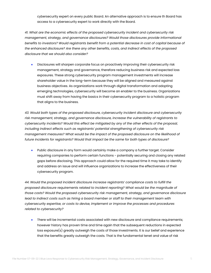cybersecurity expert on every public Board. An alternative approach is to ensure th Board has access to a cybersecurity expert to work directly with the Board.

*41. What are the economic effects of the proposed cybersecurity incident and cybersecurity risk management, strategy, and governance disclosures? Would those disclosures provide informational benefits to investors? Would registrants benefit from a potential decrease in cost of capital because of the enhanced disclosure? Are there any other benefits, costs, and indirect effects of the proposed disclosure that we should also consider?*

Disclosures will sharpen corporate focus on proactively improving their cybersecurity risk management, strategy and governance, therefore reducing business risk and expected loss exposures. These strong cybersecurity program management investments will increase shareholder value in the long-term because they will be aligned and measured against business objectives. As organizations work through digital transformation and adopting emerging technologies, cybersecurity will become an enabler to the business. Organizations must shift away from having the basics in their cybersecurity program to a holistic program that aligns to the business.

*43. Would both types of the proposed disclosure, cybersecurity incident disclosure and cybersecurity risk management, strategy, and governance disclosure, increase the vulnerability of registrants to cybersecurity incidents? Would this effect be mitigated by any of the other effects of the proposal, including indirect effects such as registrants' potential strengthening of cybersecurity risk management measures? What would be the impact of the proposed disclosure on the likelihood of future incidents for registrants? Would that impact be the same for both types of disclosure?*

● Public disclosure in any form would certainly make a company a further target. Consider requiring companies to perform certain functions - potentially securing and closing any related gaps before disclosing. This approach could allow for the required time it may take to identify and address an issue and will influence organizations to increase the effectiveness of their cybersecurity program.

*44. Would the proposed incident disclosure increase registrants' compliance costs to fulfill the proposed disclosure requirements related to incident reporting? What would be the magnitude of those costs? Would the proposed cybersecurity risk management, strategy, and governance disclosure lead to indirect costs such as hiring a board member or staff to their management team with cybersecurity expertise, or costs to devise, implement or improve the processes and procedures related to cybersecurity?*

● There will be incremental costs associated with new disclosure and compliance requirements; however history has proven time and time again that the subsequent reductions in expected loss exposure(s) greatly outweigh the costs of those investments. It is our belief and experience that the benefits greatly outweigh the costs. That is the fundamental tenet and value of risk